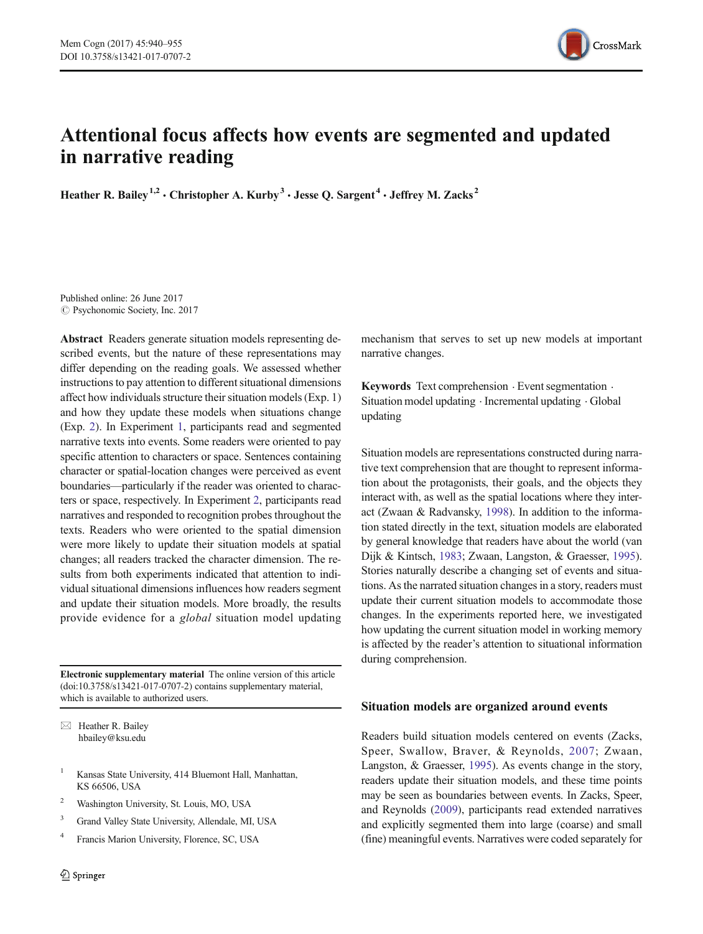

# Attentional focus affects how events are segmented and updated in narrative reading

Heather R. Bailey<sup>1,2</sup>  $\cdot$  Christopher A. Kurby<sup>3</sup>  $\cdot$  Jesse O. Sargent<sup>4</sup>  $\cdot$  Jeffrey M. Zacks<sup>2</sup>

Published online: 26 June 2017  $\circ$  Psychonomic Society, Inc. 2017

Abstract Readers generate situation models representing described events, but the nature of these representations may differ depending on the reading goals. We assessed whether instructions to pay attention to different situational dimensions affect how individuals structure their situation models (Exp. 1) and how they update these models when situations change (Exp. [2\)](#page-4-0). In Experiment [1](#page-2-0), participants read and segmented narrative texts into events. Some readers were oriented to pay specific attention to characters or space. Sentences containing character or spatial-location changes were perceived as event boundaries—particularly if the reader was oriented to characters or space, respectively. In Experiment [2,](#page-4-0) participants read narratives and responded to recognition probes throughout the texts. Readers who were oriented to the spatial dimension were more likely to update their situation models at spatial changes; all readers tracked the character dimension. The results from both experiments indicated that attention to individual situational dimensions influences how readers segment and update their situation models. More broadly, the results provide evidence for a *global* situation model updating

Electronic supplementary material The online version of this article (doi[:10.3758/s13421-017-0707-2](http://dx.doi.org/10.3758/s13421-017-0707-2)) contains supplementary material, which is available to authorized users.

 $\boxtimes$  Heather R. Bailey hbailey@ksu.edu

- <sup>1</sup> Kansas State University, 414 Bluemont Hall, Manhattan, KS 66506, USA
- <sup>2</sup> Washington University, St. Louis, MO, USA
- <sup>3</sup> Grand Valley State University, Allendale, MI, USA
- <sup>4</sup> Francis Marion University, Florence, SC, USA

mechanism that serves to set up new models at important narrative changes.

Keywords Text comprehension  $\cdot$  Event segmentation  $\cdot$ Situation model updating . Incremental updating . Global updating

Situation models are representations constructed during narrative text comprehension that are thought to represent information about the protagonists, their goals, and the objects they interact with, as well as the spatial locations where they interact (Zwaan & Radvansky, [1998](#page-15-0)). In addition to the information stated directly in the text, situation models are elaborated by general knowledge that readers have about the world (van Dijk & Kintsch, [1983;](#page-15-0) Zwaan, Langston, & Graesser, [1995\)](#page-15-0). Stories naturally describe a changing set of events and situations. As the narrated situation changes in a story, readers must update their current situation models to accommodate those changes. In the experiments reported here, we investigated how updating the current situation model in working memory is affected by the reader's attention to situational information during comprehension.

## Situation models are organized around events

Readers build situation models centered on events (Zacks, Speer, Swallow, Braver, & Reynolds, [2007;](#page-15-0) Zwaan, Langston, & Graesser, [1995\)](#page-15-0). As events change in the story, readers update their situation models, and these time points may be seen as boundaries between events. In Zacks, Speer, and Reynolds [\(2009\)](#page-15-0), participants read extended narratives and explicitly segmented them into large (coarse) and small (fine) meaningful events. Narratives were coded separately for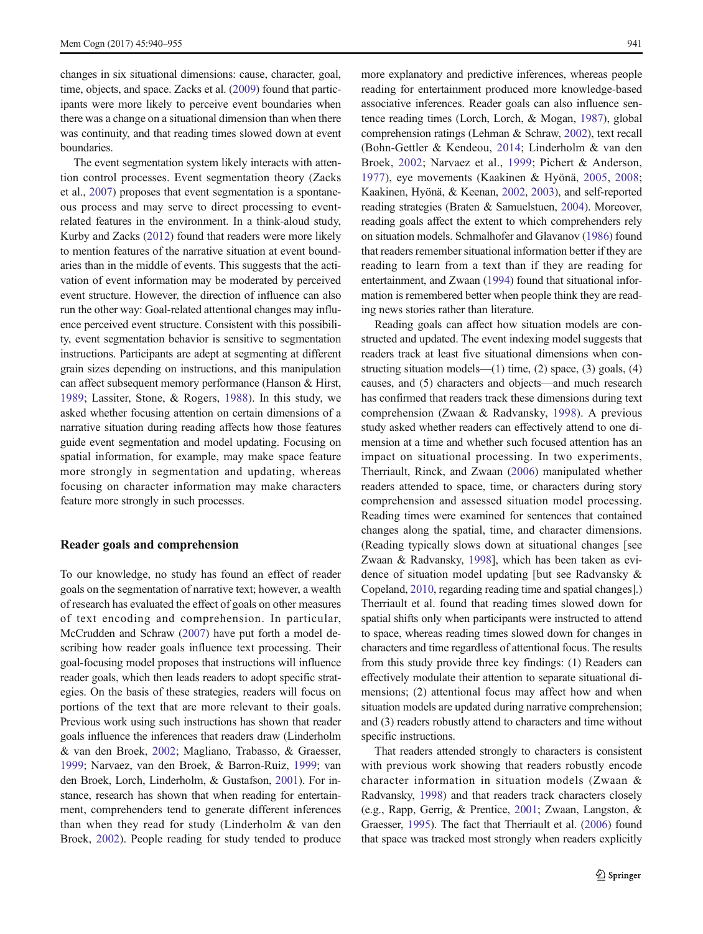changes in six situational dimensions: cause, character, goal, time, objects, and space. Zacks et al. [\(2009\)](#page-15-0) found that participants were more likely to perceive event boundaries when there was a change on a situational dimension than when there was continuity, and that reading times slowed down at event boundaries.

The event segmentation system likely interacts with attention control processes. Event segmentation theory (Zacks et al., [2007](#page-15-0)) proposes that event segmentation is a spontaneous process and may serve to direct processing to eventrelated features in the environment. In a think-aloud study, Kurby and Zacks [\(2012](#page-14-0)) found that readers were more likely to mention features of the narrative situation at event boundaries than in the middle of events. This suggests that the activation of event information may be moderated by perceived event structure. However, the direction of influence can also run the other way: Goal-related attentional changes may influence perceived event structure. Consistent with this possibility, event segmentation behavior is sensitive to segmentation instructions. Participants are adept at segmenting at different grain sizes depending on instructions, and this manipulation can affect subsequent memory performance (Hanson & Hirst, [1989](#page-14-0); Lassiter, Stone, & Rogers, [1988](#page-15-0)). In this study, we asked whether focusing attention on certain dimensions of a narrative situation during reading affects how those features guide event segmentation and model updating. Focusing on spatial information, for example, may make space feature more strongly in segmentation and updating, whereas focusing on character information may make characters feature more strongly in such processes.

#### Reader goals and comprehension

To our knowledge, no study has found an effect of reader goals on the segmentation of narrative text; however, a wealth of research has evaluated the effect of goals on other measures of text encoding and comprehension. In particular, McCrudden and Schraw ([2007](#page-15-0)) have put forth a model describing how reader goals influence text processing. Their goal-focusing model proposes that instructions will influence reader goals, which then leads readers to adopt specific strategies. On the basis of these strategies, readers will focus on portions of the text that are more relevant to their goals. Previous work using such instructions has shown that reader goals influence the inferences that readers draw (Linderholm & van den Broek, [2002](#page-15-0); Magliano, Trabasso, & Graesser, [1999;](#page-15-0) Narvaez, van den Broek, & Barron-Ruiz, [1999](#page-15-0); van den Broek, Lorch, Linderholm, & Gustafson, [2001](#page-15-0)). For instance, research has shown that when reading for entertainment, comprehenders tend to generate different inferences than when they read for study (Linderholm & van den Broek, [2002](#page-15-0)). People reading for study tended to produce more explanatory and predictive inferences, whereas people reading for entertainment produced more knowledge-based associative inferences. Reader goals can also influence sentence reading times (Lorch, Lorch, & Mogan, [1987](#page-15-0)), global comprehension ratings (Lehman & Schraw, [2002\)](#page-15-0), text recall (Bohn-Gettler & Kendeou, [2014](#page-14-0); Linderholm & van den Broek, [2002](#page-15-0); Narvaez et al., [1999;](#page-15-0) Pichert & Anderson, [1977](#page-15-0)), eye movements (Kaakinen & Hyönä, [2005,](#page-14-0) [2008;](#page-14-0) Kaakinen, Hyönä, & Keenan, [2002,](#page-14-0) [2003\)](#page-14-0), and self-reported reading strategies (Braten & Samuelstuen, [2004](#page-14-0)). Moreover, reading goals affect the extent to which comprehenders rely on situation models. Schmalhofer and Glavanov ([1986](#page-15-0)) found that readers remember situational information better if they are reading to learn from a text than if they are reading for entertainment, and Zwaan ([1994](#page-15-0)) found that situational information is remembered better when people think they are reading news stories rather than literature.

Reading goals can affect how situation models are constructed and updated. The event indexing model suggests that readers track at least five situational dimensions when constructing situation models— $(1)$  time,  $(2)$  space,  $(3)$  goals,  $(4)$ causes, and (5) characters and objects—and much research has confirmed that readers track these dimensions during text comprehension (Zwaan & Radvansky, [1998\)](#page-15-0). A previous study asked whether readers can effectively attend to one dimension at a time and whether such focused attention has an impact on situational processing. In two experiments, Therriault, Rinck, and Zwaan [\(2006](#page-15-0)) manipulated whether readers attended to space, time, or characters during story comprehension and assessed situation model processing. Reading times were examined for sentences that contained changes along the spatial, time, and character dimensions. (Reading typically slows down at situational changes [see Zwaan & Radvansky, [1998\]](#page-15-0), which has been taken as evidence of situation model updating [but see Radvansky & Copeland, [2010](#page-15-0), regarding reading time and spatial changes].) Therriault et al. found that reading times slowed down for spatial shifts only when participants were instructed to attend to space, whereas reading times slowed down for changes in characters and time regardless of attentional focus. The results from this study provide three key findings: (1) Readers can effectively modulate their attention to separate situational dimensions; (2) attentional focus may affect how and when situation models are updated during narrative comprehension; and (3) readers robustly attend to characters and time without specific instructions.

That readers attended strongly to characters is consistent with previous work showing that readers robustly encode character information in situation models (Zwaan & Radvansky, [1998](#page-15-0)) and that readers track characters closely (e.g., Rapp, Gerrig, & Prentice, [2001;](#page-15-0) Zwaan, Langston, & Graesser, [1995\)](#page-15-0). The fact that Therriault et al. [\(2006\)](#page-15-0) found that space was tracked most strongly when readers explicitly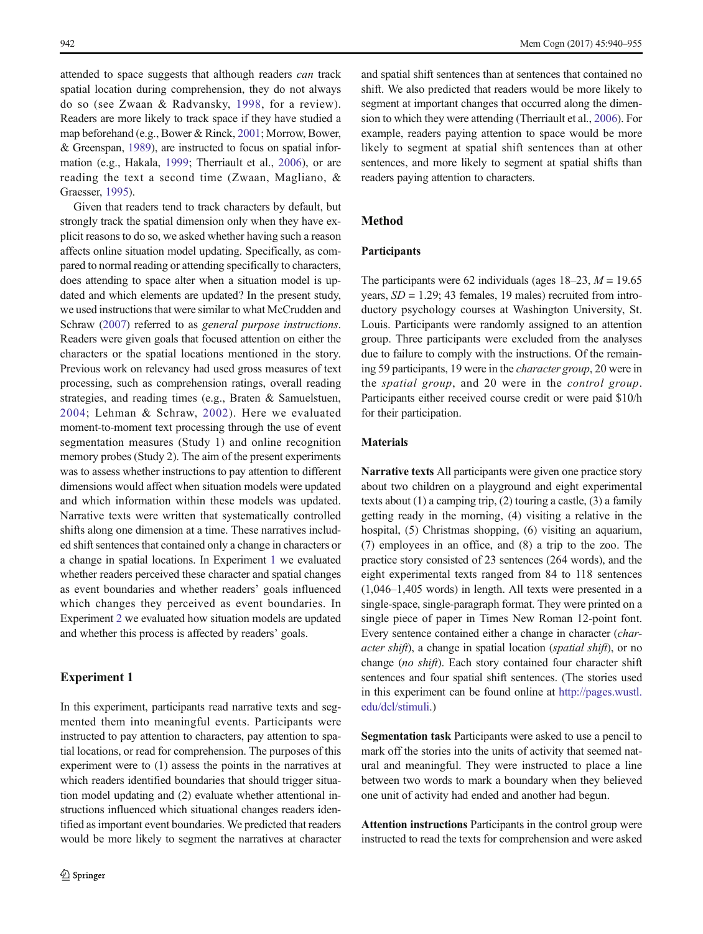<span id="page-2-0"></span>attended to space suggests that although readers can track spatial location during comprehension, they do not always do so (see Zwaan & Radvansky, [1998](#page-15-0), for a review). Readers are more likely to track space if they have studied a map beforehand (e.g., Bower & Rinck, [2001;](#page-14-0) Morrow, Bower, & Greenspan, [1989](#page-15-0)), are instructed to focus on spatial information (e.g., Hakala, [1999;](#page-14-0) Therriault et al., [2006\)](#page-15-0), or are reading the text a second time (Zwaan, Magliano, & Graesser, [1995\)](#page-15-0).

Given that readers tend to track characters by default, but strongly track the spatial dimension only when they have explicit reasons to do so, we asked whether having such a reason affects online situation model updating. Specifically, as compared to normal reading or attending specifically to characters, does attending to space alter when a situation model is updated and which elements are updated? In the present study, we used instructions that were similar to what McCrudden and Schraw [\(2007](#page-15-0)) referred to as general purpose instructions. Readers were given goals that focused attention on either the characters or the spatial locations mentioned in the story. Previous work on relevancy had used gross measures of text processing, such as comprehension ratings, overall reading strategies, and reading times (e.g., Braten & Samuelstuen, [2004;](#page-14-0) Lehman & Schraw, [2002\)](#page-15-0). Here we evaluated moment-to-moment text processing through the use of event segmentation measures (Study 1) and online recognition memory probes (Study 2). The aim of the present experiments was to assess whether instructions to pay attention to different dimensions would affect when situation models were updated and which information within these models was updated. Narrative texts were written that systematically controlled shifts along one dimension at a time. These narratives included shift sentences that contained only a change in characters or a change in spatial locations. In Experiment 1 we evaluated whether readers perceived these character and spatial changes as event boundaries and whether readers' goals influenced which changes they perceived as event boundaries. In Experiment [2](#page-4-0) we evaluated how situation models are updated and whether this process is affected by readers' goals.

### Experiment 1

In this experiment, participants read narrative texts and segmented them into meaningful events. Participants were instructed to pay attention to characters, pay attention to spatial locations, or read for comprehension. The purposes of this experiment were to (1) assess the points in the narratives at which readers identified boundaries that should trigger situation model updating and (2) evaluate whether attentional instructions influenced which situational changes readers identified as important event boundaries. We predicted that readers would be more likely to segment the narratives at character

and spatial shift sentences than at sentences that contained no shift. We also predicted that readers would be more likely to segment at important changes that occurred along the dimension to which they were attending (Therriault et al., [2006](#page-15-0)). For example, readers paying attention to space would be more likely to segment at spatial shift sentences than at other sentences, and more likely to segment at spatial shifts than readers paying attention to characters.

# Method

#### Participants

The participants were 62 individuals (ages  $18-23$ ,  $M = 19.65$ ) years,  $SD = 1.29$ ; 43 females, 19 males) recruited from introductory psychology courses at Washington University, St. Louis. Participants were randomly assigned to an attention group. Three participants were excluded from the analyses due to failure to comply with the instructions. Of the remaining 59 participants, 19 were in the character group, 20 were in the spatial group, and 20 were in the control group. Participants either received course credit or were paid \$10/h for their participation.

# Materials

Narrative texts All participants were given one practice story about two children on a playground and eight experimental texts about (1) a camping trip, (2) touring a castle, (3) a family getting ready in the morning, (4) visiting a relative in the hospital, (5) Christmas shopping, (6) visiting an aquarium, (7) employees in an office, and (8) a trip to the zoo. The practice story consisted of 23 sentences (264 words), and the eight experimental texts ranged from 84 to 118 sentences (1,046–1,405 words) in length. All texts were presented in a single-space, single-paragraph format. They were printed on a single piece of paper in Times New Roman 12-point font. Every sentence contained either a change in character (character shift), a change in spatial location (spatial shift), or no change (no shift). Each story contained four character shift sentences and four spatial shift sentences. (The stories used in this experiment can be found online at [http://pages.wustl.](http://pages.wustl.edu/dcl/stimuli) [edu/dcl/stimuli.](http://pages.wustl.edu/dcl/stimuli))

Segmentation task Participants were asked to use a pencil to mark off the stories into the units of activity that seemed natural and meaningful. They were instructed to place a line between two words to mark a boundary when they believed one unit of activity had ended and another had begun.

Attention instructions Participants in the control group were instructed to read the texts for comprehension and were asked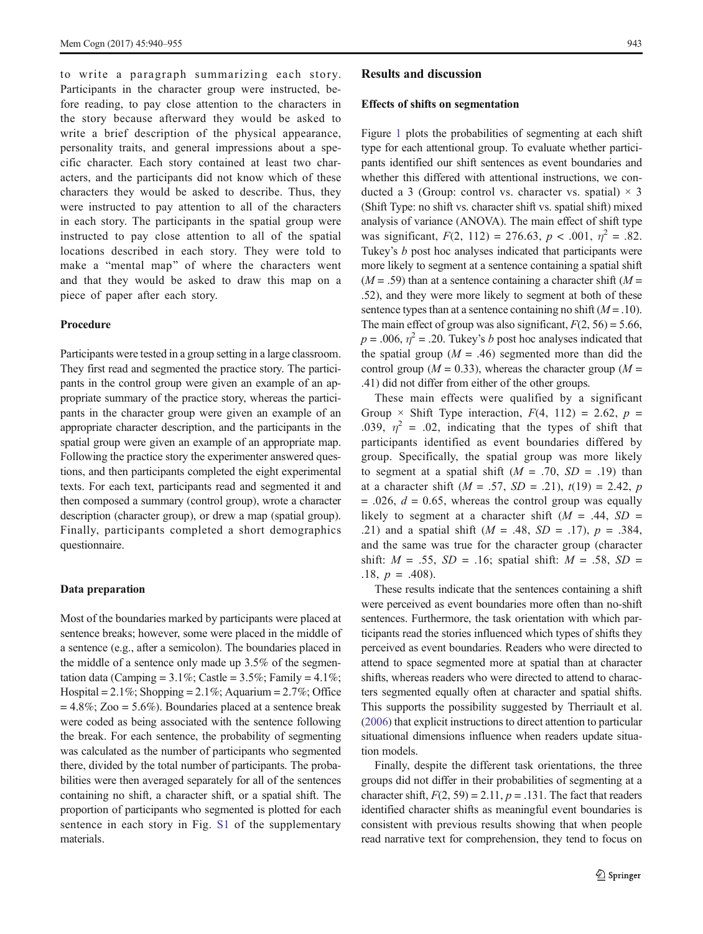to write a paragraph summarizing each story. Participants in the character group were instructed, before reading, to pay close attention to the characters in the story because afterward they would be asked to write a brief description of the physical appearance, personality traits, and general impressions about a specific character. Each story contained at least two characters, and the participants did not know which of these characters they would be asked to describe. Thus, they were instructed to pay attention to all of the characters in each story. The participants in the spatial group were instructed to pay close attention to all of the spatial locations described in each story. They were told to make a "mental map" of where the characters went and that they would be asked to draw this map on a piece of paper after each story.

#### Procedure

Participants were tested in a group setting in a large classroom. They first read and segmented the practice story. The participants in the control group were given an example of an appropriate summary of the practice story, whereas the participants in the character group were given an example of an appropriate character description, and the participants in the spatial group were given an example of an appropriate map. Following the practice story the experimenter answered questions, and then participants completed the eight experimental texts. For each text, participants read and segmented it and then composed a summary (control group), wrote a character description (character group), or drew a map (spatial group). Finally, participants completed a short demographics questionnaire.

#### Data preparation

Most of the boundaries marked by participants were placed at sentence breaks; however, some were placed in the middle of a sentence (e.g., after a semicolon). The boundaries placed in the middle of a sentence only made up 3.5% of the segmentation data (Camping =  $3.1\%$ ; Castle =  $3.5\%$ ; Family =  $4.1\%$ ; Hospital =  $2.1\%$ ; Shopping =  $2.1\%$ ; Aquarium =  $2.7\%$ ; Office  $= 4.8\%$ ; Zoo = 5.6%). Boundaries placed at a sentence break were coded as being associated with the sentence following the break. For each sentence, the probability of segmenting was calculated as the number of participants who segmented there, divided by the total number of participants. The probabilities were then averaged separately for all of the sentences containing no shift, a character shift, or a spatial shift. The proportion of participants who segmented is plotted for each sentence in each story in Fig. S1 of the supplementary materials.

#### Results and discussion

#### Effects of shifts on segmentation

Figure [1](#page-4-0) plots the probabilities of segmenting at each shift type for each attentional group. To evaluate whether participants identified our shift sentences as event boundaries and whether this differed with attentional instructions, we conducted a 3 (Group: control vs. character vs. spatial)  $\times$  3 (Shift Type: no shift vs. character shift vs. spatial shift) mixed analysis of variance (ANOVA). The main effect of shift type was significant,  $F(2, 112) = 276.63$ ,  $p < .001$ ,  $\eta^2 = .82$ . Tukey's b post hoc analyses indicated that participants were more likely to segment at a sentence containing a spatial shift  $(M = .59)$  than at a sentence containing a character shift  $(M =$ .52), and they were more likely to segment at both of these sentence types than at a sentence containing no shift  $(M = .10)$ . The main effect of group was also significant,  $F(2, 56) = 5.66$ ,  $p = .006$ ,  $\eta^2 = .20$ . Tukey's b post hoc analyses indicated that the spatial group ( $M = .46$ ) segmented more than did the control group ( $M = 0.33$ ), whereas the character group ( $M =$ .41) did not differ from either of the other groups.

These main effects were qualified by a significant Group  $\times$  Shift Type interaction,  $F(4, 112) = 2.62$ ,  $p =$ .039,  $\eta^2$  = .02, indicating that the types of shift that participants identified as event boundaries differed by group. Specifically, the spatial group was more likely to segment at a spatial shift  $(M = .70, SD = .19)$  than at a character shift ( $M = .57$ ,  $SD = .21$ ),  $t(19) = 2.42$ , p  $= .026$ ,  $d = 0.65$ , whereas the control group was equally likely to segment at a character shift  $(M = .44, SD =$ .21) and a spatial shift ( $M = .48$ ,  $SD = .17$ ),  $p = .384$ , and the same was true for the character group (character shift:  $M = .55$ ,  $SD = .16$ ; spatial shift:  $M = .58$ ,  $SD =$ .18,  $p = .408$ ).

These results indicate that the sentences containing a shift were perceived as event boundaries more often than no-shift sentences. Furthermore, the task orientation with which participants read the stories influenced which types of shifts they perceived as event boundaries. Readers who were directed to attend to space segmented more at spatial than at character shifts, whereas readers who were directed to attend to characters segmented equally often at character and spatial shifts. This supports the possibility suggested by Therriault et al. [\(2006\)](#page-15-0) that explicit instructions to direct attention to particular situational dimensions influence when readers update situation models.

Finally, despite the different task orientations, the three groups did not differ in their probabilities of segmenting at a character shift,  $F(2, 59) = 2.11$ ,  $p = .131$ . The fact that readers identified character shifts as meaningful event boundaries is consistent with previous results showing that when people read narrative text for comprehension, they tend to focus on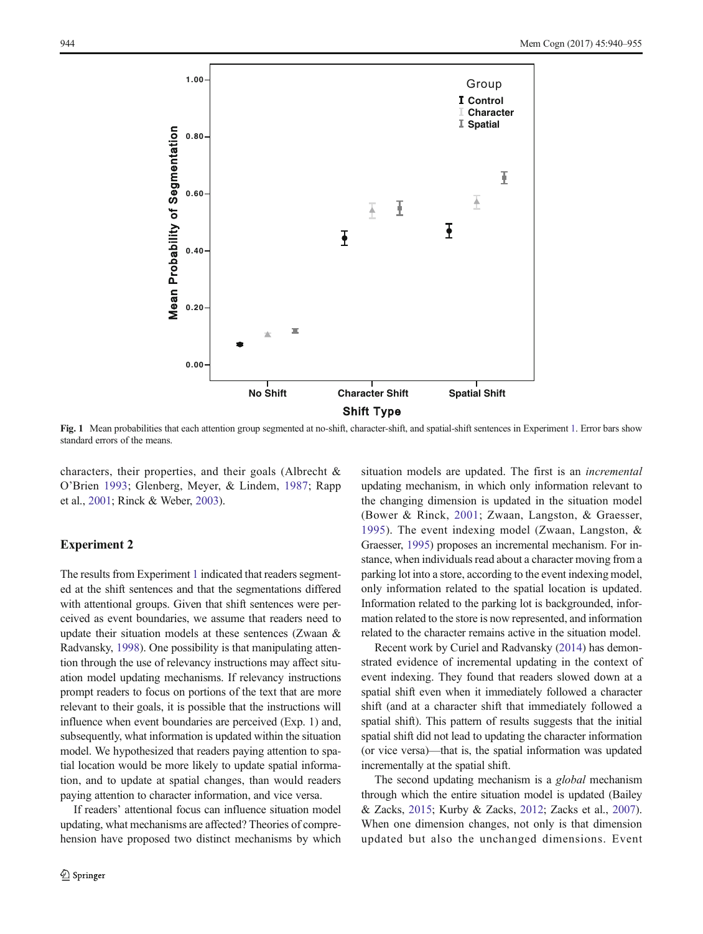<span id="page-4-0"></span>

Fig. 1 Mean probabilities that each attention group segmented at no-shift, character-shift, and spatial-shift sentences in Experiment [1.](#page-2-0) Error bars show standard errors of the means.

characters, their properties, and their goals (Albrecht & O'Brien [1993](#page-14-0); Glenberg, Meyer, & Lindem, [1987](#page-14-0); Rapp et al., [2001;](#page-15-0) Rinck & Weber, [2003](#page-15-0)).

#### Experiment 2

The results from Experiment [1](#page-2-0) indicated that readers segmented at the shift sentences and that the segmentations differed with attentional groups. Given that shift sentences were perceived as event boundaries, we assume that readers need to update their situation models at these sentences (Zwaan & Radvansky, [1998](#page-15-0)). One possibility is that manipulating attention through the use of relevancy instructions may affect situation model updating mechanisms. If relevancy instructions prompt readers to focus on portions of the text that are more relevant to their goals, it is possible that the instructions will influence when event boundaries are perceived (Exp. 1) and, subsequently, what information is updated within the situation model. We hypothesized that readers paying attention to spatial location would be more likely to update spatial information, and to update at spatial changes, than would readers paying attention to character information, and vice versa.

If readers' attentional focus can influence situation model updating, what mechanisms are affected? Theories of comprehension have proposed two distinct mechanisms by which situation models are updated. The first is an incremental updating mechanism, in which only information relevant to the changing dimension is updated in the situation model (Bower & Rinck, [2001;](#page-14-0) Zwaan, Langston, & Graesser, [1995\)](#page-15-0). The event indexing model (Zwaan, Langston, & Graesser, [1995](#page-15-0)) proposes an incremental mechanism. For instance, when individuals read about a character moving from a parking lot into a store, according to the event indexing model, only information related to the spatial location is updated. Information related to the parking lot is backgrounded, information related to the store is now represented, and information related to the character remains active in the situation model.

Recent work by Curiel and Radvansky ([2014](#page-14-0)) has demonstrated evidence of incremental updating in the context of event indexing. They found that readers slowed down at a spatial shift even when it immediately followed a character shift (and at a character shift that immediately followed a spatial shift). This pattern of results suggests that the initial spatial shift did not lead to updating the character information (or vice versa)—that is, the spatial information was updated incrementally at the spatial shift.

The second updating mechanism is a *global* mechanism through which the entire situation model is updated (Bailey & Zacks, [2015;](#page-14-0) Kurby & Zacks, [2012](#page-14-0); Zacks et al., [2007\)](#page-15-0). When one dimension changes, not only is that dimension updated but also the unchanged dimensions. Event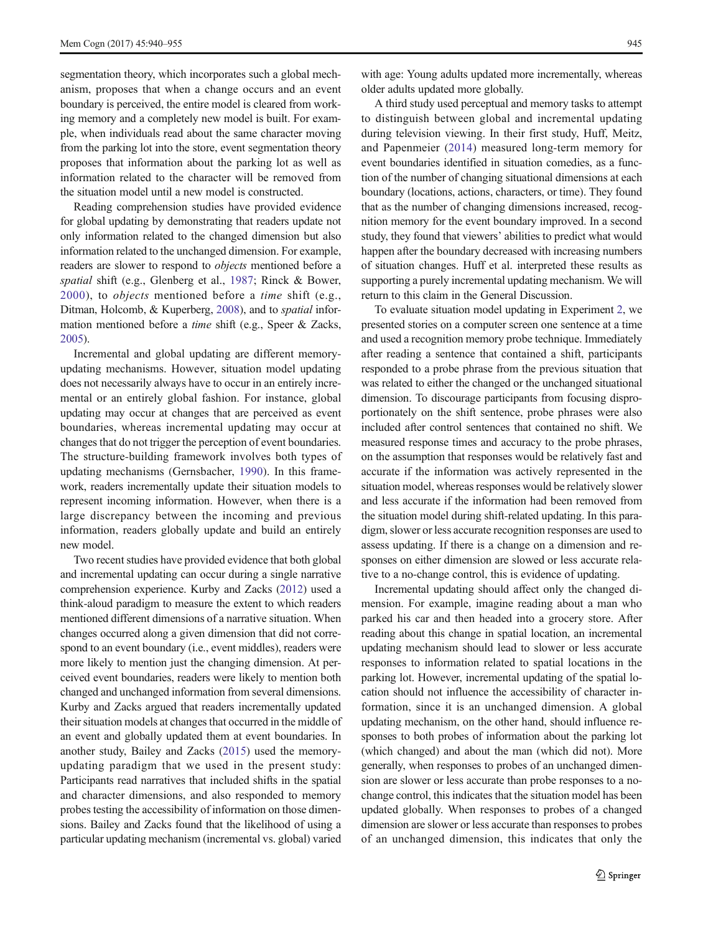segmentation theory, which incorporates such a global mechanism, proposes that when a change occurs and an event boundary is perceived, the entire model is cleared from working memory and a completely new model is built. For example, when individuals read about the same character moving from the parking lot into the store, event segmentation theory proposes that information about the parking lot as well as information related to the character will be removed from the situation model until a new model is constructed.

Reading comprehension studies have provided evidence for global updating by demonstrating that readers update not only information related to the changed dimension but also information related to the unchanged dimension. For example, readers are slower to respond to objects mentioned before a spatial shift (e.g., Glenberg et al., [1987;](#page-14-0) Rinck & Bower, [2000\)](#page-15-0), to objects mentioned before a time shift (e.g., Ditman, Holcomb, & Kuperberg, [2008](#page-14-0)), and to spatial information mentioned before a time shift (e.g., Speer & Zacks, [2005\)](#page-15-0).

Incremental and global updating are different memoryupdating mechanisms. However, situation model updating does not necessarily always have to occur in an entirely incremental or an entirely global fashion. For instance, global updating may occur at changes that are perceived as event boundaries, whereas incremental updating may occur at changes that do not trigger the perception of event boundaries. The structure-building framework involves both types of updating mechanisms (Gernsbacher, [1990\)](#page-14-0). In this framework, readers incrementally update their situation models to represent incoming information. However, when there is a large discrepancy between the incoming and previous information, readers globally update and build an entirely new model.

Two recent studies have provided evidence that both global and incremental updating can occur during a single narrative comprehension experience. Kurby and Zacks [\(2012\)](#page-14-0) used a think-aloud paradigm to measure the extent to which readers mentioned different dimensions of a narrative situation. When changes occurred along a given dimension that did not correspond to an event boundary (i.e., event middles), readers were more likely to mention just the changing dimension. At perceived event boundaries, readers were likely to mention both changed and unchanged information from several dimensions. Kurby and Zacks argued that readers incrementally updated their situation models at changes that occurred in the middle of an event and globally updated them at event boundaries. In another study, Bailey and Zacks ([2015\)](#page-14-0) used the memoryupdating paradigm that we used in the present study: Participants read narratives that included shifts in the spatial and character dimensions, and also responded to memory probes testing the accessibility of information on those dimensions. Bailey and Zacks found that the likelihood of using a particular updating mechanism (incremental vs. global) varied

with age: Young adults updated more incrementally, whereas older adults updated more globally.

A third study used perceptual and memory tasks to attempt to distinguish between global and incremental updating during television viewing. In their first study, Huff, Meitz, and Papenmeier ([2014\)](#page-14-0) measured long-term memory for event boundaries identified in situation comedies, as a function of the number of changing situational dimensions at each boundary (locations, actions, characters, or time). They found that as the number of changing dimensions increased, recognition memory for the event boundary improved. In a second study, they found that viewers' abilities to predict what would happen after the boundary decreased with increasing numbers of situation changes. Huff et al. interpreted these results as supporting a purely incremental updating mechanism. We will return to this claim in the General Discussion.

To evaluate situation model updating in Experiment [2,](#page-4-0) we presented stories on a computer screen one sentence at a time and used a recognition memory probe technique. Immediately after reading a sentence that contained a shift, participants responded to a probe phrase from the previous situation that was related to either the changed or the unchanged situational dimension. To discourage participants from focusing disproportionately on the shift sentence, probe phrases were also included after control sentences that contained no shift. We measured response times and accuracy to the probe phrases, on the assumption that responses would be relatively fast and accurate if the information was actively represented in the situation model, whereas responses would be relatively slower and less accurate if the information had been removed from the situation model during shift-related updating. In this paradigm, slower or less accurate recognition responses are used to assess updating. If there is a change on a dimension and responses on either dimension are slowed or less accurate relative to a no-change control, this is evidence of updating.

Incremental updating should affect only the changed dimension. For example, imagine reading about a man who parked his car and then headed into a grocery store. After reading about this change in spatial location, an incremental updating mechanism should lead to slower or less accurate responses to information related to spatial locations in the parking lot. However, incremental updating of the spatial location should not influence the accessibility of character information, since it is an unchanged dimension. A global updating mechanism, on the other hand, should influence responses to both probes of information about the parking lot (which changed) and about the man (which did not). More generally, when responses to probes of an unchanged dimension are slower or less accurate than probe responses to a nochange control, this indicates that the situation model has been updated globally. When responses to probes of a changed dimension are slower or less accurate than responses to probes of an unchanged dimension, this indicates that only the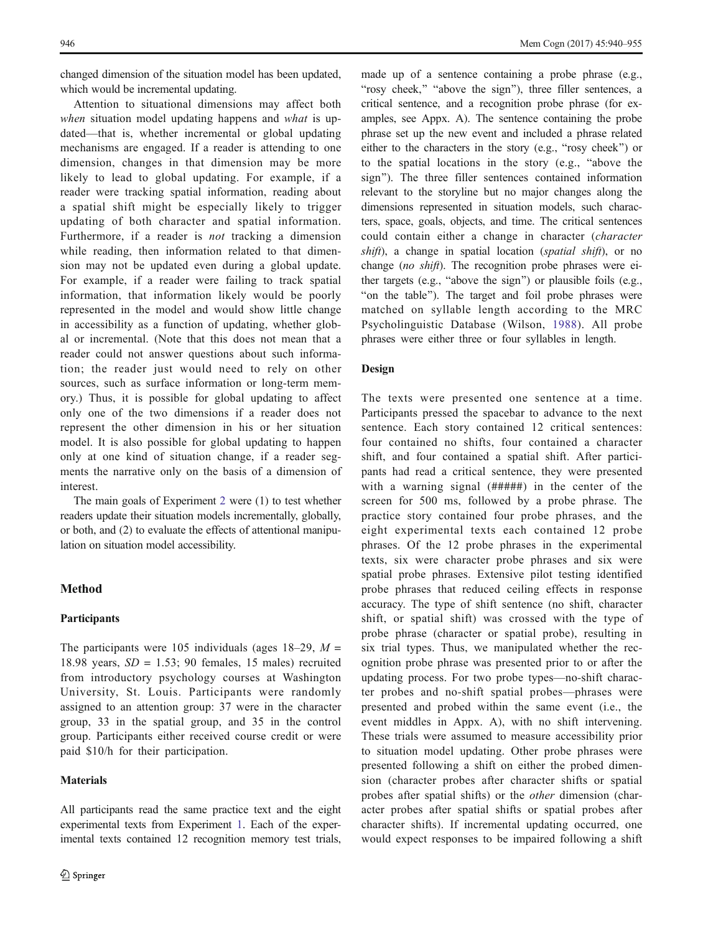changed dimension of the situation model has been updated, which would be incremental updating.

Attention to situational dimensions may affect both when situation model updating happens and what is updated—that is, whether incremental or global updating mechanisms are engaged. If a reader is attending to one dimension, changes in that dimension may be more likely to lead to global updating. For example, if a reader were tracking spatial information, reading about a spatial shift might be especially likely to trigger updating of both character and spatial information. Furthermore, if a reader is not tracking a dimension while reading, then information related to that dimension may not be updated even during a global update. For example, if a reader were failing to track spatial information, that information likely would be poorly represented in the model and would show little change in accessibility as a function of updating, whether global or incremental. (Note that this does not mean that a reader could not answer questions about such information; the reader just would need to rely on other sources, such as surface information or long-term memory.) Thus, it is possible for global updating to affect only one of the two dimensions if a reader does not represent the other dimension in his or her situation model. It is also possible for global updating to happen only at one kind of situation change, if a reader segments the narrative only on the basis of a dimension of interest.

The main goals of Experiment [2](#page-4-0) were (1) to test whether readers update their situation models incrementally, globally, or both, and (2) to evaluate the effects of attentional manipulation on situation model accessibility.

# Method

# Participants

The participants were 105 individuals (ages 18–29,  $M =$ 18.98 years,  $SD = 1.53$ ; 90 females, 15 males) recruited from introductory psychology courses at Washington University, St. Louis. Participants were randomly assigned to an attention group: 37 were in the character group, 33 in the spatial group, and 35 in the control group. Participants either received course credit or were paid \$10/h for their participation.

#### **Materials**

All participants read the same practice text and the eight experimental texts from Experiment [1.](#page-2-0) Each of the experimental texts contained 12 recognition memory test trials,

made up of a sentence containing a probe phrase (e.g., "rosy cheek," "above the sign"), three filler sentences, a critical sentence, and a recognition probe phrase (for examples, see Appx. A). The sentence containing the probe phrase set up the new event and included a phrase related either to the characters in the story (e.g., "rosy cheek") or to the spatial locations in the story (e.g., "above the sign"). The three filler sentences contained information relevant to the storyline but no major changes along the dimensions represented in situation models, such characters, space, goals, objects, and time. The critical sentences could contain either a change in character (character shift), a change in spatial location (spatial shift), or no change (no shift). The recognition probe phrases were either targets (e.g., "above the sign") or plausible foils (e.g., "on the table"). The target and foil probe phrases were matched on syllable length according to the MRC Psycholinguistic Database (Wilson, [1988](#page-15-0)). All probe phrases were either three or four syllables in length.

#### Design

The texts were presented one sentence at a time. Participants pressed the spacebar to advance to the next sentence. Each story contained 12 critical sentences: four contained no shifts, four contained a character shift, and four contained a spatial shift. After participants had read a critical sentence, they were presented with a warning signal (#####) in the center of the screen for 500 ms, followed by a probe phrase. The practice story contained four probe phrases, and the eight experimental texts each contained 12 probe phrases. Of the 12 probe phrases in the experimental texts, six were character probe phrases and six were spatial probe phrases. Extensive pilot testing identified probe phrases that reduced ceiling effects in response accuracy. The type of shift sentence (no shift, character shift, or spatial shift) was crossed with the type of probe phrase (character or spatial probe), resulting in six trial types. Thus, we manipulated whether the recognition probe phrase was presented prior to or after the updating process. For two probe types—no-shift character probes and no-shift spatial probes—phrases were presented and probed within the same event (i.e., the event middles in Appx. A), with no shift intervening. These trials were assumed to measure accessibility prior to situation model updating. Other probe phrases were presented following a shift on either the probed dimension (character probes after character shifts or spatial probes after spatial shifts) or the other dimension (character probes after spatial shifts or spatial probes after character shifts). If incremental updating occurred, one would expect responses to be impaired following a shift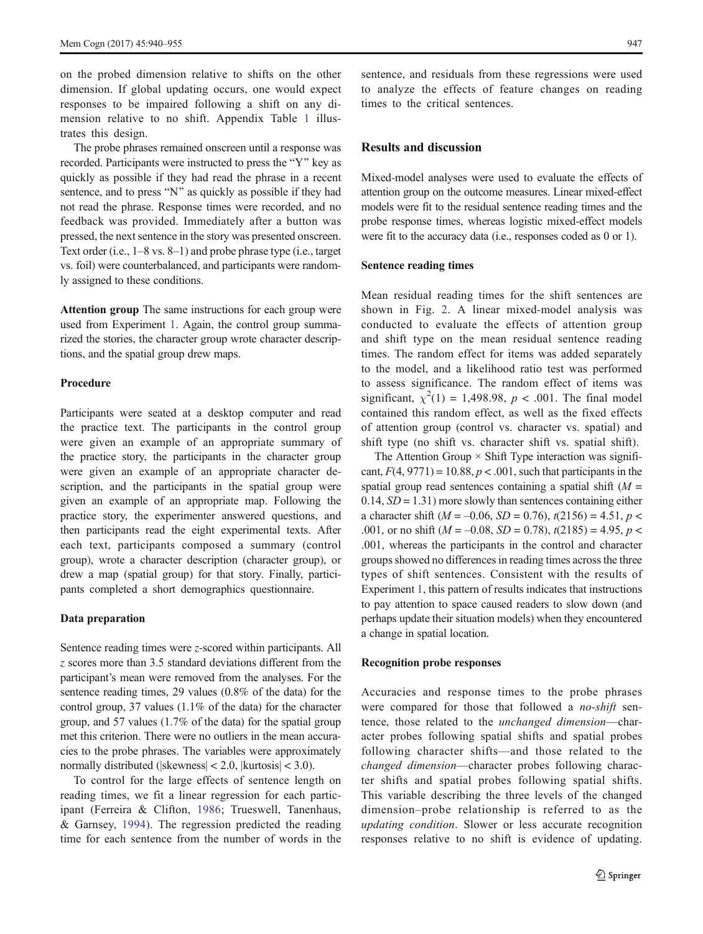on the probed dimension relative to shifts on the other dimension. If global updating occurs, one would expect responses to be impaired following a shift on any dimension relative to no shift. Appendix Table [1](#page-12-0) illustrates this design.

The probe phrases remained onscreen until a response was recorded. Participants were instructed to press the "Y" key as quickly as possible if they had read the phrase in a recent sentence, and to press "N" as quickly as possible if they had not read the phrase. Response times were recorded, and no feedback was provided. Immediately after a button was pressed, the next sentence in the story was presented onscreen. Text order (i.e., 1–8 vs. 8–1) and probe phrase type (i.e., target vs. foil) were counterbalanced, and participants were randomly assigned to these conditions.

Attention group The same instructions for each group were used from Experiment [1.](#page-2-0) Again, the control group summarized the stories, the character group wrote character descriptions, and the spatial group drew maps.

#### Procedure

Participants were seated at a desktop computer and read the practice text. The participants in the control group were given an example of an appropriate summary of the practice story, the participants in the character group were given an example of an appropriate character description, and the participants in the spatial group were given an example of an appropriate map. Following the practice story, the experimenter answered questions, and then participants read the eight experimental texts. After each text, participants composed a summary (control group), wrote a character description (character group), or drew a map (spatial group) for that story. Finally, participants completed a short demographics questionnaire.

#### Data preparation

Sentence reading times were *z*-scored within participants. All z scores more than 3.5 standard deviations different from the participant's mean were removed from the analyses. For the sentence reading times, 29 values (0.8% of the data) for the control group, 37 values (1.1% of the data) for the character group, and 57 values (1.7% of the data) for the spatial group met this criterion. There were no outliers in the mean accuracies to the probe phrases. The variables were approximately normally distributed (|skewness| < 2.0, |kurtosis| < 3.0).

To control for the large effects of sentence length on reading times, we fit a linear regression for each participant (Ferreira & Clifton, [1986](#page-14-0); Trueswell, Tanenhaus, & Garnsey, [1994\)](#page-15-0). The regression predicted the reading time for each sentence from the number of words in the sentence, and residuals from these regressions were used to analyze the effects of feature changes on reading times to the critical sentences.

### Results and discussion

Mixed-model analyses were used to evaluate the effects of attention group on the outcome measures. Linear mixed-effect models were fit to the residual sentence reading times and the probe response times, whereas logistic mixed-effect models were fit to the accuracy data (i.e., responses coded as 0 or 1).

#### Sentence reading times

Mean residual reading times for the shift sentences are shown in Fig. [2](#page-8-0). A linear mixed-model analysis was conducted to evaluate the effects of attention group and shift type on the mean residual sentence reading times. The random effect for items was added separately to the model, and a likelihood ratio test was performed to assess significance. The random effect of items was significant,  $\chi^2(1) = 1,498.98, p < .001$ . The final model contained this random effect, as well as the fixed effects of attention group (control vs. character vs. spatial) and shift type (no shift vs. character shift vs. spatial shift).

The Attention Group  $\times$  Shift Type interaction was significant,  $F(4, 9771) = 10.88$ ,  $p < .001$ , such that participants in the spatial group read sentences containing a spatial shift  $(M =$  $0.14$ ,  $SD = 1.31$ ) more slowly than sentences containing either a character shift ( $M = -0.06$ ,  $SD = 0.76$ ),  $t(2156) = 4.51$ ,  $p <$ .001, or no shift ( $M = -0.08$ ,  $SD = 0.78$ ),  $t(2185) = 4.95$ ,  $p <$ .001, whereas the participants in the control and character groups showed no differences in reading times across the three types of shift sentences. Consistent with the results of Experiment [1](#page-2-0), this pattern of results indicates that instructions to pay attention to space caused readers to slow down (and perhaps update their situation models) when they encountered a change in spatial location.

#### Recognition probe responses

Accuracies and response times to the probe phrases were compared for those that followed a no-shift sentence, those related to the unchanged dimension—character probes following spatial shifts and spatial probes following character shifts—and those related to the changed dimension—character probes following character shifts and spatial probes following spatial shifts. This variable describing the three levels of the changed dimension–probe relationship is referred to as the updating condition. Slower or less accurate recognition responses relative to no shift is evidence of updating.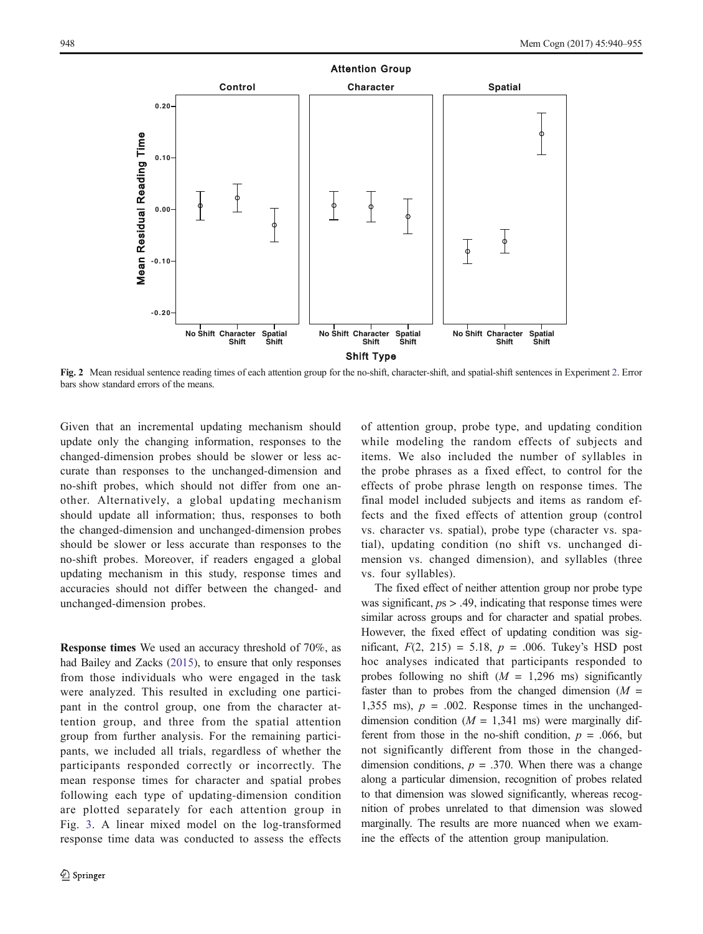<span id="page-8-0"></span>

Fig. 2 Mean residual sentence reading times of each attention group for the no-shift, character-shift, and spatial-shift sentences in Experiment [2.](#page-4-0) Error bars show standard errors of the means.

Given that an incremental updating mechanism should update only the changing information, responses to the changed-dimension probes should be slower or less accurate than responses to the unchanged-dimension and no-shift probes, which should not differ from one another. Alternatively, a global updating mechanism should update all information; thus, responses to both the changed-dimension and unchanged-dimension probes should be slower or less accurate than responses to the no-shift probes. Moreover, if readers engaged a global updating mechanism in this study, response times and accuracies should not differ between the changed- and unchanged-dimension probes.

Response times We used an accuracy threshold of 70%, as had Bailey and Zacks ([2015](#page-14-0)), to ensure that only responses from those individuals who were engaged in the task were analyzed. This resulted in excluding one participant in the control group, one from the character attention group, and three from the spatial attention group from further analysis. For the remaining participants, we included all trials, regardless of whether the participants responded correctly or incorrectly. The mean response times for character and spatial probes following each type of updating-dimension condition are plotted separately for each attention group in Fig. [3.](#page-9-0) A linear mixed model on the log-transformed response time data was conducted to assess the effects of attention group, probe type, and updating condition while modeling the random effects of subjects and items. We also included the number of syllables in the probe phrases as a fixed effect, to control for the effects of probe phrase length on response times. The final model included subjects and items as random effects and the fixed effects of attention group (control vs. character vs. spatial), probe type (character vs. spatial), updating condition (no shift vs. unchanged dimension vs. changed dimension), and syllables (three vs. four syllables).

The fixed effect of neither attention group nor probe type was significant,  $p_s$  > .49, indicating that response times were similar across groups and for character and spatial probes. However, the fixed effect of updating condition was significant,  $F(2, 215) = 5.18$ ,  $p = .006$ . Tukey's HSD post hoc analyses indicated that participants responded to probes following no shift  $(M = 1,296 \text{ ms})$  significantly faster than to probes from the changed dimension  $(M =$ 1,355 ms),  $p = .002$ . Response times in the unchangeddimension condition ( $M = 1,341$  ms) were marginally different from those in the no-shift condition,  $p = .066$ , but not significantly different from those in the changeddimension conditions,  $p = .370$ . When there was a change along a particular dimension, recognition of probes related to that dimension was slowed significantly, whereas recognition of probes unrelated to that dimension was slowed marginally. The results are more nuanced when we examine the effects of the attention group manipulation.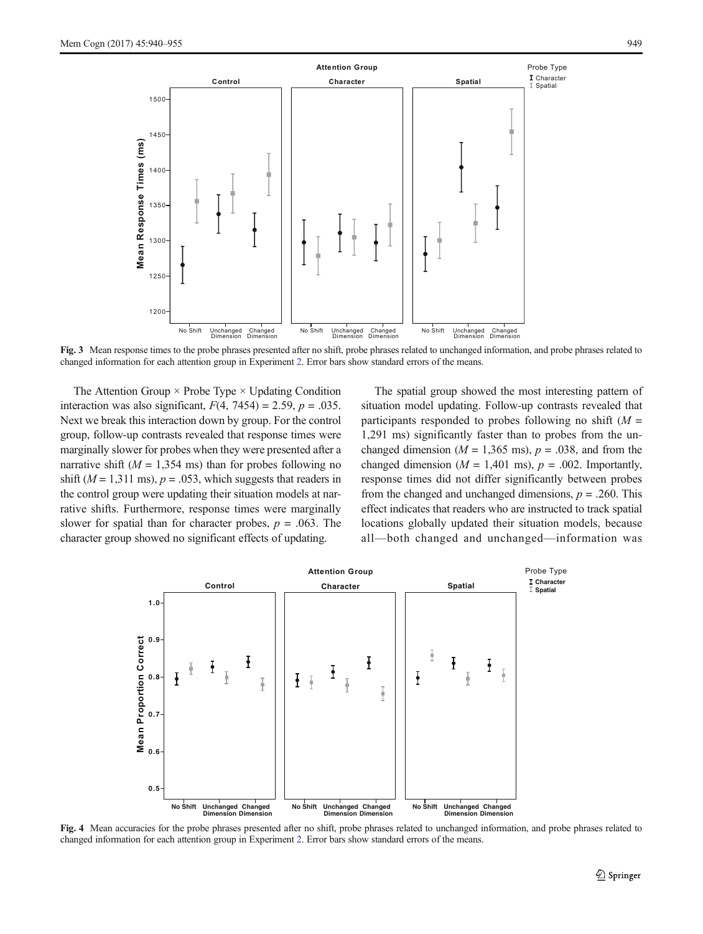<span id="page-9-0"></span>

Fig. 3 Mean response times to the probe phrases presented after no shift, probe phrases related to unchanged information, and probe phrases related to changed information for each attention group in Experiment [2.](#page-4-0) Error bars show standard errors of the means.

The Attention Group  $\times$  Probe Type  $\times$  Updating Condition interaction was also significant,  $F(4, 7454) = 2.59$ ,  $p = .035$ . Next we break this interaction down by group. For the control group, follow-up contrasts revealed that response times were marginally slower for probes when they were presented after a narrative shift ( $M = 1,354$  ms) than for probes following no shift ( $M = 1,311$  ms),  $p = .053$ , which suggests that readers in the control group were updating their situation models at narrative shifts. Furthermore, response times were marginally slower for spatial than for character probes,  $p = .063$ . The character group showed no significant effects of updating.

The spatial group showed the most interesting pattern of situation model updating. Follow-up contrasts revealed that participants responded to probes following no shift  $(M =$ 1,291 ms) significantly faster than to probes from the unchanged dimension ( $M = 1,365$  ms),  $p = .038$ , and from the changed dimension ( $M = 1,401$  ms),  $p = .002$ . Importantly, response times did not differ significantly between probes from the changed and unchanged dimensions,  $p = .260$ . This effect indicates that readers who are instructed to track spatial locations globally updated their situation models, because all—both changed and unchanged—information was



Fig. 4 Mean accuracies for the probe phrases presented after no shift, probe phrases related to unchanged information, and probe phrases related to changed information for each attention group in Experiment [2.](#page-4-0) Error bars show standard errors of the means.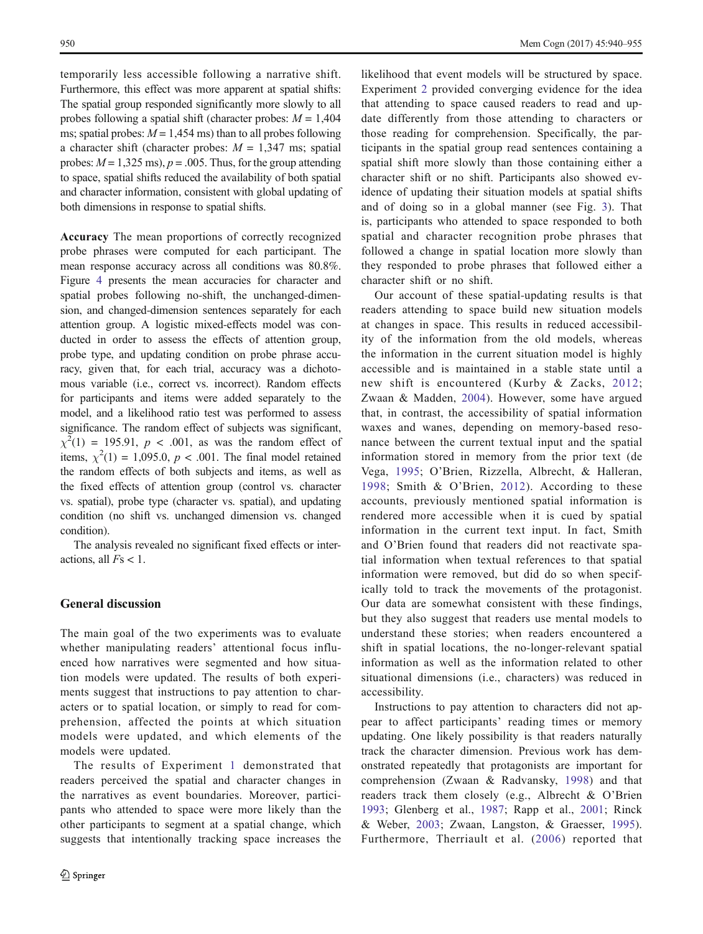temporarily less accessible following a narrative shift. Furthermore, this effect was more apparent at spatial shifts: The spatial group responded significantly more slowly to all probes following a spatial shift (character probes:  $M = 1,404$ ms; spatial probes:  $M = 1,454$  ms) than to all probes following a character shift (character probes:  $M = 1,347$  ms; spatial probes:  $M = 1,325$  ms),  $p = .005$ . Thus, for the group attending to space, spatial shifts reduced the availability of both spatial and character information, consistent with global updating of both dimensions in response to spatial shifts.

Accuracy The mean proportions of correctly recognized probe phrases were computed for each participant. The mean response accuracy across all conditions was 80.8%. Figure [4](#page-9-0) presents the mean accuracies for character and spatial probes following no-shift, the unchanged-dimension, and changed-dimension sentences separately for each attention group. A logistic mixed-effects model was conducted in order to assess the effects of attention group, probe type, and updating condition on probe phrase accuracy, given that, for each trial, accuracy was a dichotomous variable (i.e., correct vs. incorrect). Random effects for participants and items were added separately to the model, and a likelihood ratio test was performed to assess significance. The random effect of subjects was significant,  $\chi^2(1) = 195.91$ ,  $p < .001$ , as was the random effect of items,  $\chi^2(1) = 1,095.0, p < .001$ . The final model retained the random effects of both subjects and items, as well as the fixed effects of attention group (control vs. character vs. spatial), probe type (character vs. spatial), and updating condition (no shift vs. unchanged dimension vs. changed condition).

The analysis revealed no significant fixed effects or interactions, all  $Fs < 1$ .

# General discussion

The main goal of the two experiments was to evaluate whether manipulating readers' attentional focus influenced how narratives were segmented and how situation models were updated. The results of both experiments suggest that instructions to pay attention to characters or to spatial location, or simply to read for comprehension, affected the points at which situation models were updated, and which elements of the models were updated.

The results of Experiment [1](#page-2-0) demonstrated that readers perceived the spatial and character changes in the narratives as event boundaries. Moreover, participants who attended to space were more likely than the other participants to segment at a spatial change, which suggests that intentionally tracking space increases the likelihood that event models will be structured by space. Experiment [2](#page-4-0) provided converging evidence for the idea that attending to space caused readers to read and update differently from those attending to characters or those reading for comprehension. Specifically, the participants in the spatial group read sentences containing a spatial shift more slowly than those containing either a character shift or no shift. Participants also showed evidence of updating their situation models at spatial shifts and of doing so in a global manner (see Fig. [3](#page-9-0)). That is, participants who attended to space responded to both spatial and character recognition probe phrases that followed a change in spatial location more slowly than they responded to probe phrases that followed either a character shift or no shift.

Our account of these spatial-updating results is that readers attending to space build new situation models at changes in space. This results in reduced accessibility of the information from the old models, whereas the information in the current situation model is highly accessible and is maintained in a stable state until a new shift is encountered (Kurby & Zacks, [2012;](#page-14-0) Zwaan & Madden, [2004\)](#page-15-0). However, some have argued that, in contrast, the accessibility of spatial information waxes and wanes, depending on memory-based resonance between the current textual input and the spatial information stored in memory from the prior text (de Vega, [1995;](#page-14-0) O'Brien, Rizzella, Albrecht, & Halleran, [1998;](#page-15-0) Smith & O'Brien, [2012\)](#page-15-0). According to these accounts, previously mentioned spatial information is rendered more accessible when it is cued by spatial information in the current text input. In fact, Smith and O'Brien found that readers did not reactivate spatial information when textual references to that spatial information were removed, but did do so when specifically told to track the movements of the protagonist. Our data are somewhat consistent with these findings, but they also suggest that readers use mental models to understand these stories; when readers encountered a shift in spatial locations, the no-longer-relevant spatial information as well as the information related to other situational dimensions (i.e., characters) was reduced in accessibility.

Instructions to pay attention to characters did not appear to affect participants' reading times or memory updating. One likely possibility is that readers naturally track the character dimension. Previous work has demonstrated repeatedly that protagonists are important for comprehension (Zwaan & Radvansky, [1998](#page-15-0)) and that readers track them closely (e.g., Albrecht & O'Brien [1993](#page-14-0); Glenberg et al., [1987](#page-14-0); Rapp et al., [2001](#page-15-0); Rinck & Weber, [2003](#page-15-0); Zwaan, Langston, & Graesser, [1995](#page-15-0)). Furthermore, Therriault et al. ([2006\)](#page-15-0) reported that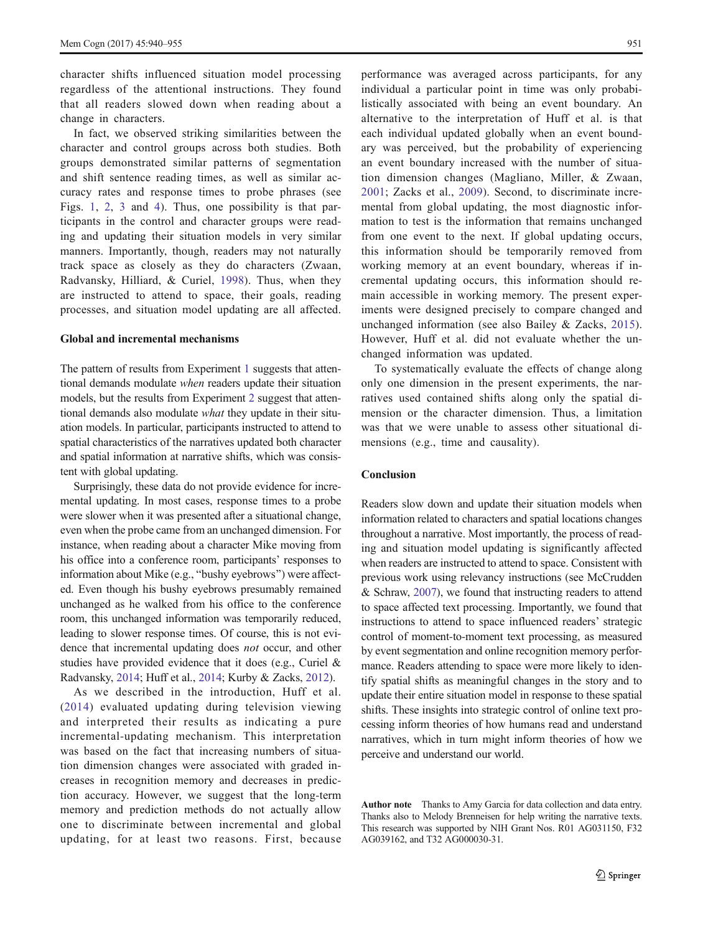character shifts influenced situation model processing regardless of the attentional instructions. They found that all readers slowed down when reading about a change in characters.

In fact, we observed striking similarities between the character and control groups across both studies. Both groups demonstrated similar patterns of segmentation and shift sentence reading times, as well as similar accuracy rates and response times to probe phrases (see Figs. [1](#page-4-0), [2,](#page-8-0) [3](#page-9-0) and [4\)](#page-9-0). Thus, one possibility is that participants in the control and character groups were reading and updating their situation models in very similar manners. Importantly, though, readers may not naturally track space as closely as they do characters (Zwaan, Radvansky, Hilliard, & Curiel, [1998\)](#page-15-0). Thus, when they are instructed to attend to space, their goals, reading processes, and situation model updating are all affected.

#### Global and incremental mechanisms

The pattern of results from Experiment [1](#page-2-0) suggests that attentional demands modulate when readers update their situation models, but the results from Experiment [2](#page-4-0) suggest that attentional demands also modulate *what* they update in their situation models. In particular, participants instructed to attend to spatial characteristics of the narratives updated both character and spatial information at narrative shifts, which was consistent with global updating.

Surprisingly, these data do not provide evidence for incremental updating. In most cases, response times to a probe were slower when it was presented after a situational change, even when the probe came from an unchanged dimension. For instance, when reading about a character Mike moving from his office into a conference room, participants' responses to information about Mike (e.g., "bushy eyebrows") were affected. Even though his bushy eyebrows presumably remained unchanged as he walked from his office to the conference room, this unchanged information was temporarily reduced, leading to slower response times. Of course, this is not evidence that incremental updating does not occur, and other studies have provided evidence that it does (e.g., Curiel & Radvansky, [2014](#page-14-0); Huff et al., [2014;](#page-14-0) Kurby & Zacks, [2012\)](#page-14-0).

As we described in the introduction, Huff et al. ([2014\)](#page-14-0) evaluated updating during television viewing and interpreted their results as indicating a pure incremental-updating mechanism. This interpretation was based on the fact that increasing numbers of situation dimension changes were associated with graded increases in recognition memory and decreases in prediction accuracy. However, we suggest that the long-term memory and prediction methods do not actually allow one to discriminate between incremental and global updating, for at least two reasons. First, because

performance was averaged across participants, for any individual a particular point in time was only probabilistically associated with being an event boundary. An alternative to the interpretation of Huff et al. is that each individual updated globally when an event boundary was perceived, but the probability of experiencing an event boundary increased with the number of situation dimension changes (Magliano, Miller, & Zwaan, [2001](#page-15-0); Zacks et al., [2009](#page-15-0)). Second, to discriminate incremental from global updating, the most diagnostic information to test is the information that remains unchanged from one event to the next. If global updating occurs, this information should be temporarily removed from working memory at an event boundary, whereas if incremental updating occurs, this information should remain accessible in working memory. The present experiments were designed precisely to compare changed and unchanged information (see also Bailey & Zacks, [2015](#page-14-0)). However, Huff et al. did not evaluate whether the unchanged information was updated.

To systematically evaluate the effects of change along only one dimension in the present experiments, the narratives used contained shifts along only the spatial dimension or the character dimension. Thus, a limitation was that we were unable to assess other situational dimensions (e.g., time and causality).

#### Conclusion

Readers slow down and update their situation models when information related to characters and spatial locations changes throughout a narrative. Most importantly, the process of reading and situation model updating is significantly affected when readers are instructed to attend to space. Consistent with previous work using relevancy instructions (see McCrudden & Schraw, [2007\)](#page-15-0), we found that instructing readers to attend to space affected text processing. Importantly, we found that instructions to attend to space influenced readers' strategic control of moment-to-moment text processing, as measured by event segmentation and online recognition memory performance. Readers attending to space were more likely to identify spatial shifts as meaningful changes in the story and to update their entire situation model in response to these spatial shifts. These insights into strategic control of online text processing inform theories of how humans read and understand narratives, which in turn might inform theories of how we perceive and understand our world.

Author note Thanks to Amy Garcia for data collection and data entry. Thanks also to Melody Brenneisen for help writing the narrative texts. This research was supported by NIH Grant Nos. R01 AG031150, F32 AG039162, and T32 AG000030-31.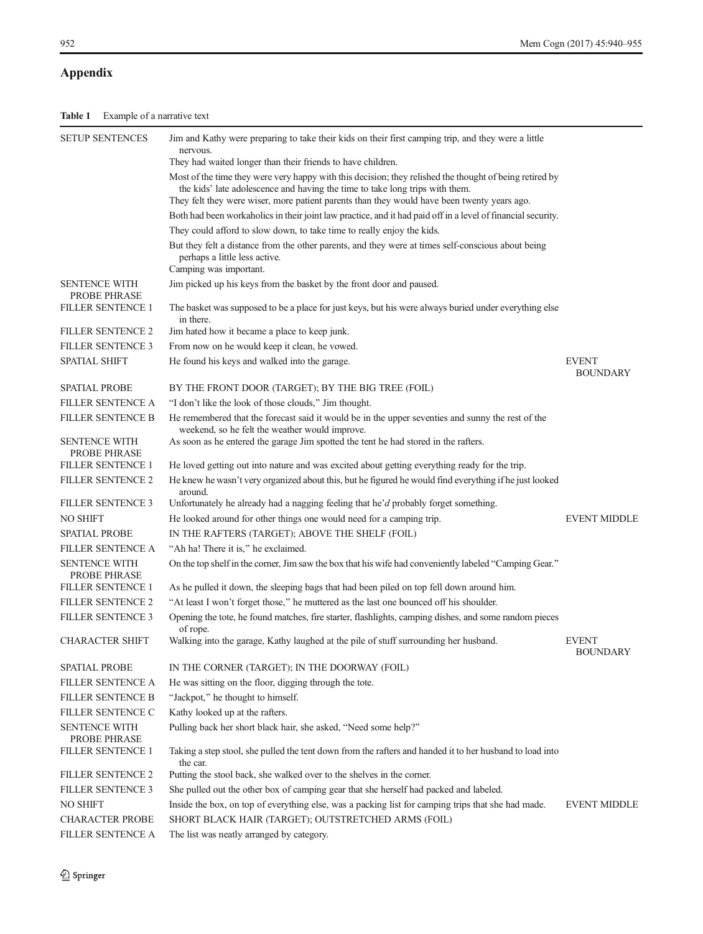# <span id="page-12-0"></span>Appendix

| <b>SETUP SENTENCES</b>               | Jim and Kathy were preparing to take their kids on their first camping trip, and they were a little                                                                                                                                                                                    |                                 |
|--------------------------------------|----------------------------------------------------------------------------------------------------------------------------------------------------------------------------------------------------------------------------------------------------------------------------------------|---------------------------------|
|                                      | nervous.<br>They had waited longer than their friends to have children.                                                                                                                                                                                                                |                                 |
|                                      | Most of the time they were very happy with this decision; they relished the thought of being retired by<br>the kids' late adolescence and having the time to take long trips with them.<br>They felt they were wiser, more patient parents than they would have been twenty years ago. |                                 |
|                                      | Both had been workaholics in their joint law practice, and it had paid off in a level of financial security.                                                                                                                                                                           |                                 |
|                                      | They could afford to slow down, to take time to really enjoy the kids.                                                                                                                                                                                                                 |                                 |
|                                      | But they felt a distance from the other parents, and they were at times self-conscious about being<br>perhaps a little less active.<br>Camping was important.                                                                                                                          |                                 |
| <b>SENTENCE WITH</b><br>PROBE PHRASE | Jim picked up his keys from the basket by the front door and paused.                                                                                                                                                                                                                   |                                 |
| <b>FILLER SENTENCE 1</b>             | The basket was supposed to be a place for just keys, but his were always buried under everything else<br>in there.                                                                                                                                                                     |                                 |
| <b>FILLER SENTENCE 2</b>             | Jim hated how it became a place to keep junk.                                                                                                                                                                                                                                          |                                 |
| <b>FILLER SENTENCE 3</b>             | From now on he would keep it clean, he vowed.                                                                                                                                                                                                                                          |                                 |
| <b>SPATIAL SHIFT</b>                 | He found his keys and walked into the garage.                                                                                                                                                                                                                                          | <b>EVENT</b><br><b>BOUNDARY</b> |
| SPATIAL PROBE                        | BY THE FRONT DOOR (TARGET); BY THE BIG TREE (FOIL)                                                                                                                                                                                                                                     |                                 |
| FILLER SENTENCE A                    | "I don't like the look of those clouds," Jim thought.                                                                                                                                                                                                                                  |                                 |
| <b>FILLER SENTENCE B</b>             | He remembered that the forecast said it would be in the upper seventies and sunny the rest of the<br>weekend, so he felt the weather would improve.                                                                                                                                    |                                 |
| <b>SENTENCE WITH</b><br>PROBE PHRASE | As soon as he entered the garage Jim spotted the tent he had stored in the rafters.                                                                                                                                                                                                    |                                 |
| FILLER SENTENCE 1                    | He loved getting out into nature and was excited about getting everything ready for the trip.                                                                                                                                                                                          |                                 |
| FILLER SENTENCE 2                    | He knew he wasn't very organized about this, but he figured he would find everything if he just looked<br>around.                                                                                                                                                                      |                                 |
| <b>FILLER SENTENCE 3</b>             | Unfortunately he already had a nagging feeling that he'd probably forget something.                                                                                                                                                                                                    |                                 |
| <b>NO SHIFT</b>                      | He looked around for other things one would need for a camping trip.                                                                                                                                                                                                                   | <b>EVENT MIDDLE</b>             |
| <b>SPATIAL PROBE</b>                 | IN THE RAFTERS (TARGET); ABOVE THE SHELF (FOIL)                                                                                                                                                                                                                                        |                                 |
| <b>FILLER SENTENCE A</b>             | "Ah ha! There it is," he exclaimed.                                                                                                                                                                                                                                                    |                                 |
| <b>SENTENCE WITH</b><br>PROBE PHRASE | On the top shelf in the corner, Jim saw the box that his wife had conveniently labeled "Camping Gear."                                                                                                                                                                                 |                                 |
| <b>FILLER SENTENCE 1</b>             | As he pulled it down, the sleeping bags that had been piled on top fell down around him.                                                                                                                                                                                               |                                 |
| <b>FILLER SENTENCE 2</b>             | "At least I won't forget those," he muttered as the last one bounced off his shoulder.                                                                                                                                                                                                 |                                 |
| <b>FILLER SENTENCE 3</b>             | Opening the tote, he found matches, fire starter, flashlights, camping dishes, and some random pieces<br>of rope.                                                                                                                                                                      |                                 |
| <b>CHARACTER SHIFT</b>               | Walking into the garage, Kathy laughed at the pile of stuff surrounding her husband.                                                                                                                                                                                                   | <b>EVENT</b><br><b>BOUNDARY</b> |
| <b>SPATIAL PROBE</b>                 | IN THE CORNER (TARGET); IN THE DOORWAY (FOIL)                                                                                                                                                                                                                                          |                                 |
| FILLER SENTENCE A                    | He was sitting on the floor, digging through the tote.                                                                                                                                                                                                                                 |                                 |
| <b>FILLER SENTENCE B</b>             | "Jackpot," he thought to himself.                                                                                                                                                                                                                                                      |                                 |
| FILLER SENTENCE C                    | Kathy looked up at the rafters.                                                                                                                                                                                                                                                        |                                 |
| <b>SENTENCE WITH</b><br>PROBE PHRASE | Pulling back her short black hair, she asked, "Need some help?"                                                                                                                                                                                                                        |                                 |
| FILLER SENTENCE 1                    | Taking a step stool, she pulled the tent down from the rafters and handed it to her husband to load into<br>the car.                                                                                                                                                                   |                                 |
| FILLER SENTENCE 2                    | Putting the stool back, she walked over to the shelves in the corner.                                                                                                                                                                                                                  |                                 |
| FILLER SENTENCE 3                    | She pulled out the other box of camping gear that she herself had packed and labeled.                                                                                                                                                                                                  |                                 |
| <b>NO SHIFT</b>                      | Inside the box, on top of everything else, was a packing list for camping trips that she had made.                                                                                                                                                                                     | <b>EVENT MIDDLE</b>             |
| <b>CHARACTER PROBE</b>               | SHORT BLACK HAIR (TARGET); OUTSTRETCHED ARMS (FOIL)                                                                                                                                                                                                                                    |                                 |
| FILLER SENTENCE A                    | The list was neatly arranged by category.                                                                                                                                                                                                                                              |                                 |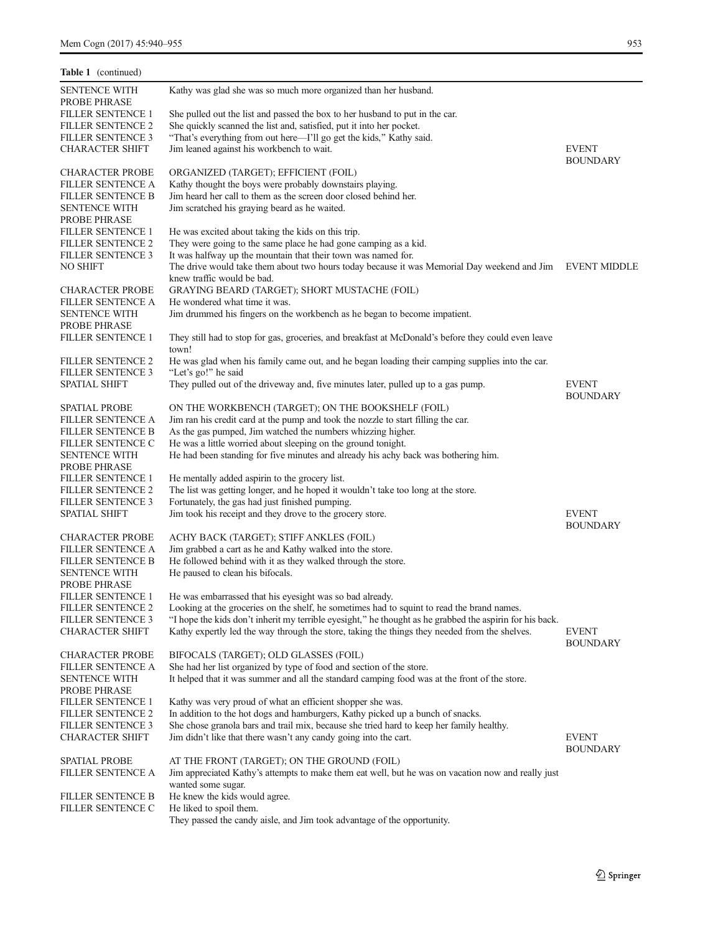| Table 1 (continued)                                              |                                                                                                                                                                          |                                 |
|------------------------------------------------------------------|--------------------------------------------------------------------------------------------------------------------------------------------------------------------------|---------------------------------|
| <b>SENTENCE WITH</b><br>PROBE PHRASE                             | Kathy was glad she was so much more organized than her husband.                                                                                                          |                                 |
| <b>FILLER SENTENCE 1</b><br><b>FILLER SENTENCE 2</b>             | She pulled out the list and passed the box to her husband to put in the car.<br>She quickly scanned the list and, satisfied, put it into her pocket.                     |                                 |
| <b>FILLER SENTENCE 3</b><br><b>CHARACTER SHIFT</b>               | "That's everything from out here-I'll go get the kids," Kathy said.<br>Jim leaned against his workbench to wait.                                                         | <b>EVENT</b>                    |
| <b>CHARACTER PROBE</b><br><b>FILLER SENTENCE A</b>               | ORGANIZED (TARGET); EFFICIENT (FOIL)<br>Kathy thought the boys were probably downstairs playing.                                                                         | <b>BOUNDARY</b>                 |
| <b>FILLER SENTENCE B</b><br><b>SENTENCE WITH</b>                 | Jim heard her call to them as the screen door closed behind her.<br>Jim scratched his graying beard as he waited.                                                        |                                 |
| PROBE PHRASE                                                     |                                                                                                                                                                          |                                 |
| <b>FILLER SENTENCE 1</b><br><b>FILLER SENTENCE 2</b>             | He was excited about taking the kids on this trip.<br>They were going to the same place he had gone camping as a kid.                                                    |                                 |
| <b>FILLER SENTENCE 3</b>                                         | It was halfway up the mountain that their town was named for.                                                                                                            |                                 |
| <b>NO SHIFT</b>                                                  | The drive would take them about two hours today because it was Memorial Day weekend and Jim EVENT MIDDLE                                                                 |                                 |
| <b>CHARACTER PROBE</b>                                           | knew traffic would be bad.<br>GRAYING BEARD (TARGET); SHORT MUSTACHE (FOIL)                                                                                              |                                 |
| <b>FILLER SENTENCE A</b>                                         | He wondered what time it was.                                                                                                                                            |                                 |
| <b>SENTENCE WITH</b><br>PROBE PHRASE                             | Jim drummed his fingers on the workbench as he began to become impatient.                                                                                                |                                 |
| FILLER SENTENCE 1                                                | They still had to stop for gas, groceries, and breakfast at McDonald's before they could even leave<br>town!                                                             |                                 |
| <b>FILLER SENTENCE 2</b><br><b>FILLER SENTENCE 3</b>             | He was glad when his family came out, and he began loading their camping supplies into the car.<br>"Let's go!" he said                                                   |                                 |
| <b>SPATIAL SHIFT</b>                                             | They pulled out of the driveway and, five minutes later, pulled up to a gas pump.                                                                                        | <b>EVENT</b><br><b>BOUNDARY</b> |
| <b>SPATIAL PROBE</b>                                             | ON THE WORKBENCH (TARGET); ON THE BOOKSHELF (FOIL)                                                                                                                       |                                 |
| <b>FILLER SENTENCE A</b><br>FILLER SENTENCE B                    | Jim ran his credit card at the pump and took the nozzle to start filling the car.<br>As the gas pumped, Jim watched the numbers whizzing higher.                         |                                 |
| <b>FILLER SENTENCE C</b>                                         | He was a little worried about sleeping on the ground tonight.                                                                                                            |                                 |
| <b>SENTENCE WITH</b>                                             | He had been standing for five minutes and already his achy back was bothering him.                                                                                       |                                 |
| PROBE PHRASE<br><b>FILLER SENTENCE 1</b>                         | He mentally added aspirin to the grocery list.                                                                                                                           |                                 |
| <b>FILLER SENTENCE 2</b>                                         | The list was getting longer, and he hoped it wouldn't take too long at the store.                                                                                        |                                 |
| <b>FILLER SENTENCE 3</b>                                         | Fortunately, the gas had just finished pumping.                                                                                                                          |                                 |
| <b>SPATIAL SHIFT</b>                                             | Jim took his receipt and they drove to the grocery store.                                                                                                                | <b>EVENT</b><br><b>BOUNDARY</b> |
| <b>CHARACTER PROBE</b>                                           | ACHY BACK (TARGET); STIFF ANKLES (FOIL)                                                                                                                                  |                                 |
| <b>FILLER SENTENCE A</b><br><b>FILLER SENTENCE B</b>             | Jim grabbed a cart as he and Kathy walked into the store.<br>He followed behind with it as they walked through the store.                                                |                                 |
| <b>SENTENCE WITH</b>                                             | He paused to clean his bifocals.                                                                                                                                         |                                 |
| PROBE PHRASE                                                     |                                                                                                                                                                          |                                 |
| <b>FILLER SENTENCE 2</b>                                         | FILLER SENTENCE 1 He was embarrassed that his eyesight was so bad already.<br>Looking at the groceries on the shelf, he sometimes had to squint to read the brand names. |                                 |
| <b>FILLER SENTENCE 3</b>                                         | "I hope the kids don't inherit my terrible eyesight," he thought as he grabbed the aspirin for his back.                                                                 |                                 |
| CHARACTER SHIFT                                                  | Kathy expertly led the way through the store, taking the things they needed from the shelves.                                                                            | <b>EVENT</b><br><b>BOUNDARY</b> |
| <b>CHARACTER PROBE</b>                                           | BIFOCALS (TARGET); OLD GLASSES (FOIL)                                                                                                                                    |                                 |
| <b>FILLER SENTENCE A</b><br><b>SENTENCE WITH</b><br>PROBE PHRASE | She had her list organized by type of food and section of the store.<br>It helped that it was summer and all the standard camping food was at the front of the store.    |                                 |
| <b>FILLER SENTENCE 1</b>                                         | Kathy was very proud of what an efficient shopper she was.                                                                                                               |                                 |
| <b>FILLER SENTENCE 2</b>                                         | In addition to the hot dogs and hamburgers, Kathy picked up a bunch of snacks.                                                                                           |                                 |
| FILLER SENTENCE 3<br><b>CHARACTER SHIFT</b>                      | She chose granola bars and trail mix, because she tried hard to keep her family healthy.<br>Jim didn't like that there wasn't any candy going into the cart.             | <b>EVENT</b><br><b>BOUNDARY</b> |
| <b>SPATIAL PROBE</b>                                             | AT THE FRONT (TARGET); ON THE GROUND (FOIL)                                                                                                                              |                                 |
| <b>FILLER SENTENCE A</b>                                         | Jim appreciated Kathy's attempts to make them eat well, but he was on vacation now and really just                                                                       |                                 |
| FILLER SENTENCE B                                                | wanted some sugar.<br>He knew the kids would agree.                                                                                                                      |                                 |
| <b>FILLER SENTENCE C</b>                                         | He liked to spoil them.                                                                                                                                                  |                                 |
|                                                                  | They passed the candy aisle, and Jim took advantage of the opportunity.                                                                                                  |                                 |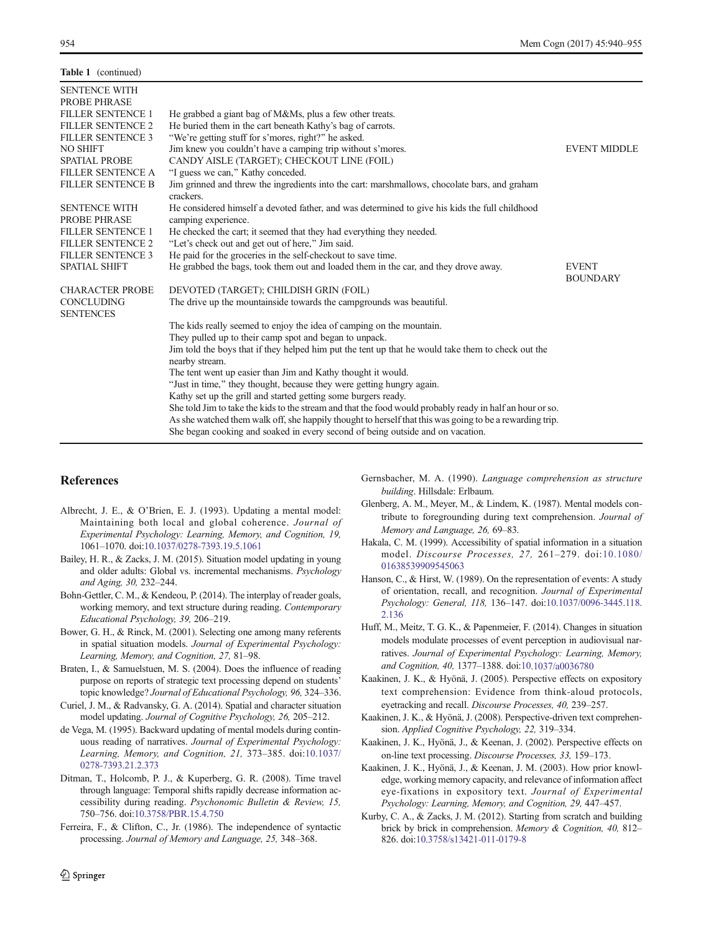<span id="page-14-0"></span>

| <b>Table 1</b> (continued)                  |                                                                                                                                |                                 |
|---------------------------------------------|--------------------------------------------------------------------------------------------------------------------------------|---------------------------------|
| <b>SENTENCE WITH</b><br><b>PROBE PHRASE</b> |                                                                                                                                |                                 |
| <b>FILLER SENTENCE 1</b>                    | He grabbed a giant bag of M&Ms, plus a few other treats.                                                                       |                                 |
| <b>FILLER SENTENCE 2</b>                    | He buried them in the cart beneath Kathy's bag of carrots.                                                                     |                                 |
| <b>FILLER SENTENCE 3</b>                    | "We're getting stuff for s'mores, right?" he asked.                                                                            |                                 |
| <b>NO SHIFT</b>                             | Jim knew you couldn't have a camping trip without s'mores.                                                                     | <b>EVENT MIDDLF</b>             |
| <b>SPATIAL PROBE</b>                        | CANDY AISLE (TARGET); CHECKOUT LINE (FOIL)                                                                                     |                                 |
| <b>FILLER SENTENCE A</b>                    | "I guess we can," Kathy conceded.                                                                                              |                                 |
| <b>FILLER SENTENCE B</b>                    | Jim grinned and threw the ingredients into the cart: marshmallows, chocolate bars, and graham<br>crackers.                     |                                 |
| <b>SENTENCE WITH</b><br><b>PROBE PHRASE</b> | He considered himself a devoted father, and was determined to give his kids the full childhood<br>camping experience.          |                                 |
| <b>FILLER SENTENCE 1</b>                    | He checked the cart; it seemed that they had everything they needed.                                                           |                                 |
| <b>FILLER SENTENCE 2</b>                    | "Let's check out and get out of here," Jim said.                                                                               |                                 |
| <b>FILLER SENTENCE 3</b>                    | He paid for the groceries in the self-checkout to save time.                                                                   |                                 |
| <b>SPATIAL SHIFT</b>                        | He grabbed the bags, took them out and loaded them in the car, and they drove away.                                            | <b>EVENT</b><br><b>BOUNDARY</b> |
| <b>CHARACTER PROBE</b>                      | DEVOTED (TARGET); CHILDISH GRIN (FOIL)                                                                                         |                                 |
| <b>CONCLUDING</b><br><b>SENTENCES</b>       | The drive up the mountainside towards the campgrounds was beautiful.                                                           |                                 |
|                                             | The kids really seemed to enjoy the idea of camping on the mountain.<br>They pulled up to their camp spot and began to unpack. |                                 |
|                                             | Jim told the boys that if they helped him put the tent up that he would take them to check out the                             |                                 |
|                                             | nearby stream.                                                                                                                 |                                 |
|                                             | The tent went up easier than Jim and Kathy thought it would.                                                                   |                                 |
|                                             | "Just in time," they thought, because they were getting hungry again.                                                          |                                 |
|                                             | Kathy set up the grill and started getting some burgers ready.                                                                 |                                 |
|                                             | She told Jim to take the kids to the stream and that the food would probably ready in half an hour or so.                      |                                 |
|                                             | As she watched them walk off, she happily thought to herself that this was going to be a rewarding trip.                       |                                 |
|                                             | She began cooking and soaked in every second of being outside and on vacation.                                                 |                                 |
|                                             |                                                                                                                                |                                 |

# **References**

- Albrecht, J. E., & O'Brien, E. J. (1993). Updating a mental model: Maintaining both local and global coherence. Journal of Experimental Psychology: Learning, Memory, and Cognition, 19, 1061–1070. doi[:10.1037/0278-7393.19.5.1061](http://dx.doi.org/10.1037/0278-7393.19.5.1061)
- Bailey, H. R., & Zacks, J. M. (2015). Situation model updating in young and older adults: Global vs. incremental mechanisms. Psychology and Aging, 30, 232–244.
- Bohn-Gettler, C. M., & Kendeou, P. (2014). The interplay of reader goals, working memory, and text structure during reading. Contemporary Educational Psychology, 39, 206–219.
- Bower, G. H., & Rinck, M. (2001). Selecting one among many referents in spatial situation models. Journal of Experimental Psychology: Learning, Memory, and Cognition, 27, 81–98.
- Braten, I., & Samuelstuen, M. S. (2004). Does the influence of reading purpose on reports of strategic text processing depend on students' topic knowledge? Journal of Educational Psychology, 96, 324–336.
- Curiel, J. M., & Radvansky, G. A. (2014). Spatial and character situation model updating. Journal of Cognitive Psychology, 26, 205–212.
- de Vega, M. (1995). Backward updating of mental models during continuous reading of narratives. Journal of Experimental Psychology: Learning, Memory, and Cognition, 21, 373–385. doi:[10.1037/](http://dx.doi.org/10.1037/0278-7393.21.2.373) [0278-7393.21.2.373](http://dx.doi.org/10.1037/0278-7393.21.2.373)
- Ditman, T., Holcomb, P. J., & Kuperberg, G. R. (2008). Time travel through language: Temporal shifts rapidly decrease information accessibility during reading. Psychonomic Bulletin & Review, 15, 750–756. doi[:10.3758/PBR.15.4.750](http://dx.doi.org/10.3758/PBR.15.4.750)
- Ferreira, F., & Clifton, C., Jr. (1986). The independence of syntactic processing. Journal of Memory and Language, 25, 348–368.
- Gernsbacher, M. A. (1990). Language comprehension as structure building. Hillsdale: Erlbaum.
- Glenberg, A. M., Meyer, M., & Lindem, K. (1987). Mental models contribute to foregrounding during text comprehension. Journal of Memory and Language, 26, 69–83.
- Hakala, C. M. (1999). Accessibility of spatial information in a situation model. Discourse Processes, 27, 261–279. doi:[10.1080/](http://dx.doi.org/10.1080/01638539909545063) [01638539909545063](http://dx.doi.org/10.1080/01638539909545063)
- Hanson, C., & Hirst, W. (1989). On the representation of events: A study of orientation, recall, and recognition. Journal of Experimental Psychology: General, 118, 136–147. doi[:10.1037/0096-3445.118.](http://dx.doi.org/10.1037/0096-3445.118.2.136) [2.136](http://dx.doi.org/10.1037/0096-3445.118.2.136)
- Huff, M., Meitz, T. G. K., & Papenmeier, F. (2014). Changes in situation models modulate processes of event perception in audiovisual narratives. Journal of Experimental Psychology: Learning, Memory, and Cognition, 40, 1377–1388. doi:[10.1037/a0036780](http://dx.doi.org/10.1037/a0036780)
- Kaakinen, J. K., & Hyönä, J. (2005). Perspective effects on expository text comprehension: Evidence from think-aloud protocols, eyetracking and recall. Discourse Processes, 40, 239–257.
- Kaakinen, J. K., & Hyönä, J. (2008). Perspective-driven text comprehension. Applied Cognitive Psychology, 22, 319–334.
- Kaakinen, J. K., Hyönä, J., & Keenan, J. (2002). Perspective effects on on-line text processing. Discourse Processes, 33, 159–173.
- Kaakinen, J. K., Hyönä, J., & Keenan, J. M. (2003). How prior knowledge, working memory capacity, and relevance of information affect eye-fixations in expository text. Journal of Experimental Psychology: Learning, Memory, and Cognition, 29, 447–457.
- Kurby, C. A., & Zacks, J. M. (2012). Starting from scratch and building brick by brick in comprehension. Memory & Cognition, 40, 812– 826. doi[:10.3758/s13421-011-0179-8](http://dx.doi.org/10.3758/s13421-011-0179-8)